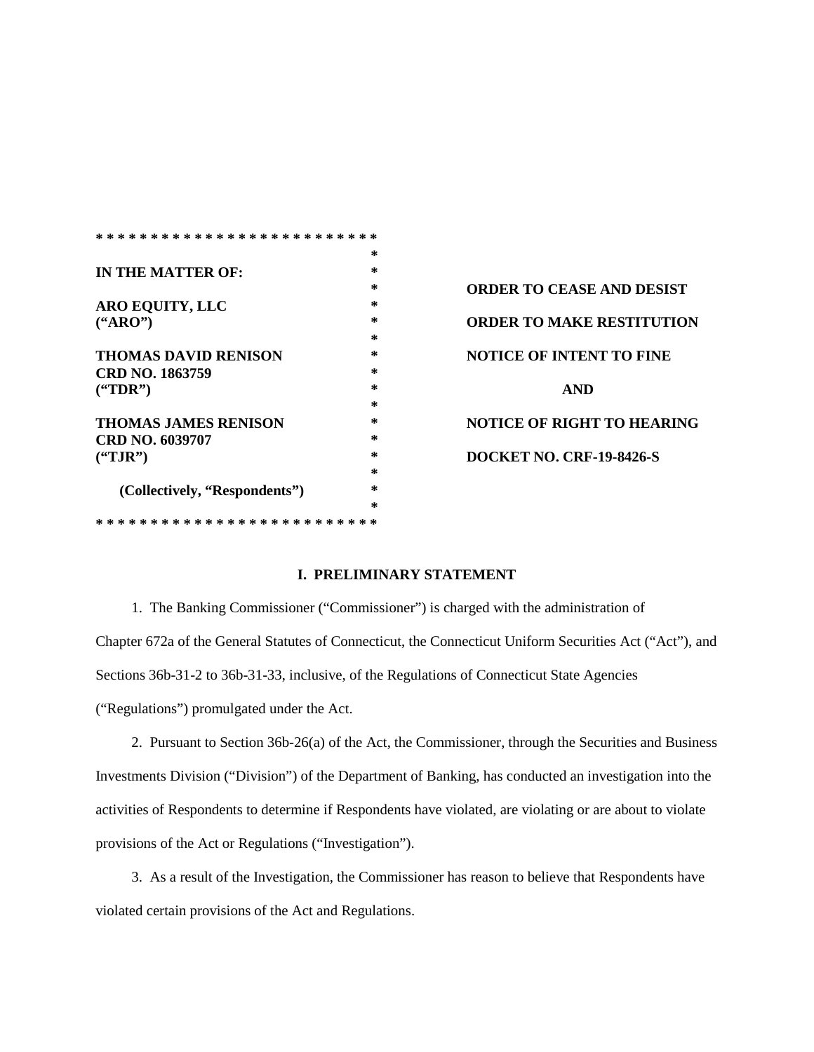|                               | *      |                        |
|-------------------------------|--------|------------------------|
| IN THE MATTER OF:             | *      |                        |
|                               | *      | <b>ORDER TO CEASE</b>  |
| <b>ARO EQUITY, LLC</b>        | ∗      |                        |
| $(*ARO")$                     | *      | <b>ORDER TO MAKE</b>   |
|                               | ∗      |                        |
| <b>THOMAS DAVID RENISON</b>   | $\ast$ | <b>NOTICE OF INTEN</b> |
| CRD NO. 1863759               | *      |                        |
| $(^{'}TDR")$                  | ∗      | <b>AND</b>             |
|                               | ∗      |                        |
| <b>THOMAS JAMES RENISON</b>   | ∗      | <b>NOTICE OF RIGHT</b> |
| CRD NO. 6039707               | *      |                        |
| $(^{\circ}TJR")$              | *      | <b>DOCKET NO. CRF</b>  |
|                               | ∗      |                        |
| (Collectively, "Respondents") | $\ast$ |                        |
|                               | $\ast$ |                        |
|                               |        |                        |

**ORDER TO CEASE AND DESIST ORDER TO MAKE RESTITUTION NOTICE OF INTENT TO FINE NOTICE OF RIGHT TO HEARING DOCKET NO. CRF-19-8426-S** 

## **I. PRELIMINARY STATEMENT**

 1. The Banking Commissioner ("Commissioner") is charged with the administration of Chapter 672a of the General Statutes of Connecticut, the Connecticut Uniform Securities Act ("Act"), and Sections 36b-31-2 to 36b-31-33, inclusive, of the Regulations of Connecticut State Agencies ("Regulations") promulgated under the Act.

 2. Pursuant to Section 36b-26(a) of the Act, the Commissioner, through the Securities and Business Investments Division ("Division") of the Department of Banking, has conducted an investigation into the activities of Respondents to determine if Respondents have violated, are violating or are about to violate provisions of the Act or Regulations ("Investigation").

3. As a result of the Investigation, the Commissioner has reason to believe that Respondents have violated certain provisions of the Act and Regulations.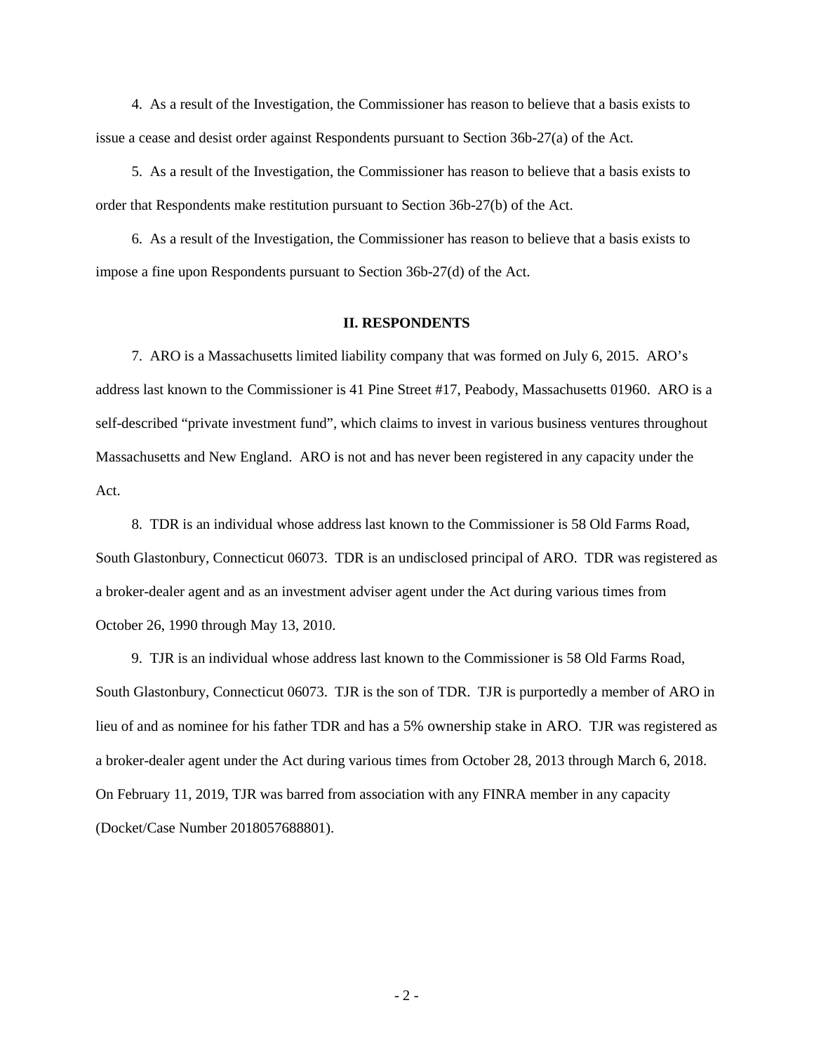4. As a result of the Investigation, the Commissioner has reason to believe that a basis exists to issue a cease and desist order against Respondents pursuant to Section 36b-27(a) of the Act.

5. As a result of the Investigation, the Commissioner has reason to believe that a basis exists to order that Respondents make restitution pursuant to Section 36b-27(b) of the Act.

 6. As a result of the Investigation, the Commissioner has reason to believe that a basis exists to impose a fine upon Respondents pursuant to Section 36b-27(d) of the Act.

## **II. RESPONDENTS**

 7. ARO is a Massachusetts limited liability company that was formed on July 6, 2015. ARO's address last known to the Commissioner is 41 Pine Street #17, Peabody, Massachusetts 01960. ARO is a self-described "private investment fund", which claims to invest in various business ventures throughout Massachusetts and New England. ARO is not and has never been registered in any capacity under the Act.

 8. TDR is an individual whose address last known to the Commissioner is 58 Old Farms Road, South Glastonbury, Connecticut 06073. TDR is an undisclosed principal of ARO. TDR was registered as a broker-dealer agent and as an investment adviser agent under the Act during various times from October 26, 1990 through May 13, 2010.

 9. TJR is an individual whose address last known to the Commissioner is 58 Old Farms Road, South Glastonbury, Connecticut 06073. TJR is the son of TDR. TJR is purportedly a member of ARO in lieu of and as nominee for his father TDR and has a 5% ownership stake in ARO. TJR was registered as a broker-dealer agent under the Act during various times from October 28, 2013 through March 6, 2018. On February 11, 2019, TJR was barred from association with any FINRA member in any capacity (Docket/Case Number 2018057688801).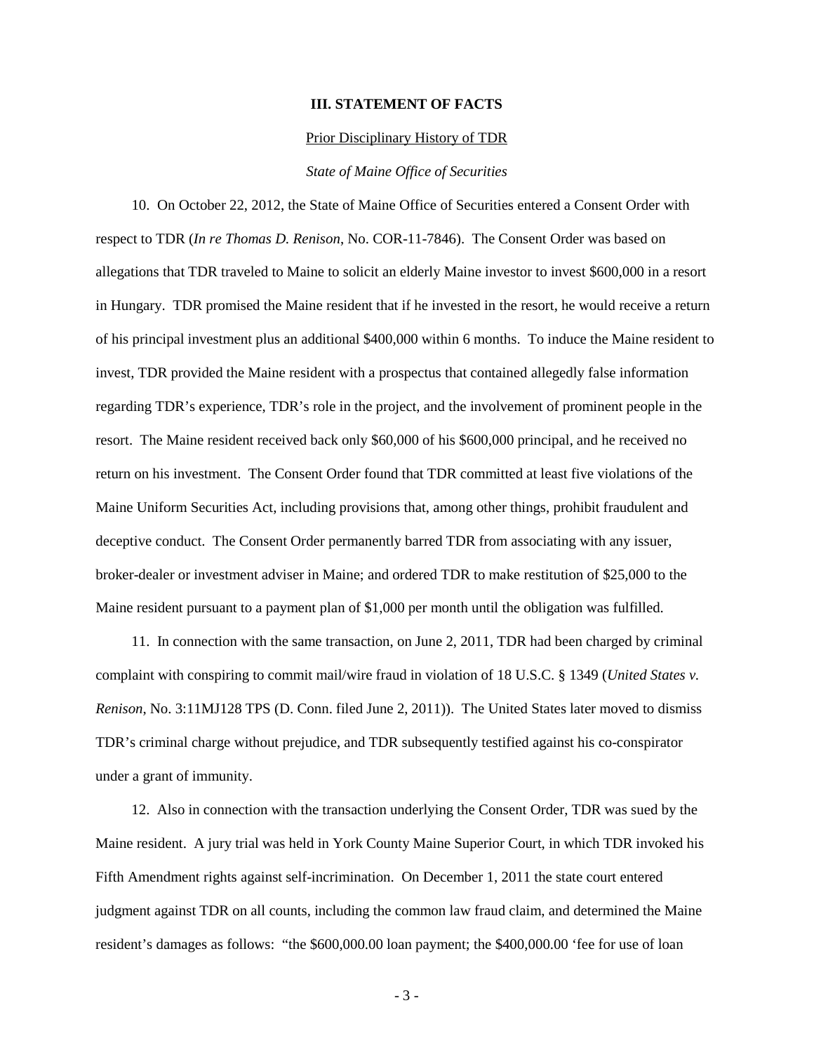## **III. STATEMENT OF FACTS**

#### Prior Disciplinary History of TDR

## *State of Maine Office of Securities*

 10. On October 22, 2012, the State of Maine Office of Securities entered a Consent Order with respect to TDR (*In re Thomas D. Renison*, No. COR-11-7846). The Consent Order was based on allegations that TDR traveled to Maine to solicit an elderly Maine investor to invest \$600,000 in a resort in Hungary. TDR promised the Maine resident that if he invested in the resort, he would receive a return of his principal investment plus an additional \$400,000 within 6 months. To induce the Maine resident to invest, TDR provided the Maine resident with a prospectus that contained allegedly false information regarding TDR's experience, TDR's role in the project, and the involvement of prominent people in the resort. The Maine resident received back only \$60,000 of his \$600,000 principal, and he received no return on his investment. The Consent Order found that TDR committed at least five violations of the Maine Uniform Securities Act, including provisions that, among other things, prohibit fraudulent and deceptive conduct. The Consent Order permanently barred TDR from associating with any issuer, broker-dealer or investment adviser in Maine; and ordered TDR to make restitution of \$25,000 to the Maine resident pursuant to a payment plan of \$1,000 per month until the obligation was fulfilled.

 11. In connection with the same transaction, on June 2, 2011, TDR had been charged by criminal complaint with conspiring to commit mail/wire fraud in violation of 18 U.S.C. § 1349 (*United States v. Renison*, No. 3:11MJ128 TPS (D. Conn. filed June 2, 2011)). The United States later moved to dismiss TDR's criminal charge without prejudice, and TDR subsequently testified against his co-conspirator under a grant of immunity.

 12. Also in connection with the transaction underlying the Consent Order, TDR was sued by the Maine resident. A jury trial was held in York County Maine Superior Court, in which TDR invoked his Fifth Amendment rights against self-incrimination. On December 1, 2011 the state court entered judgment against TDR on all counts, including the common law fraud claim, and determined the Maine resident's damages as follows: "the \$600,000.00 loan payment; the \$400,000.00 'fee for use of loan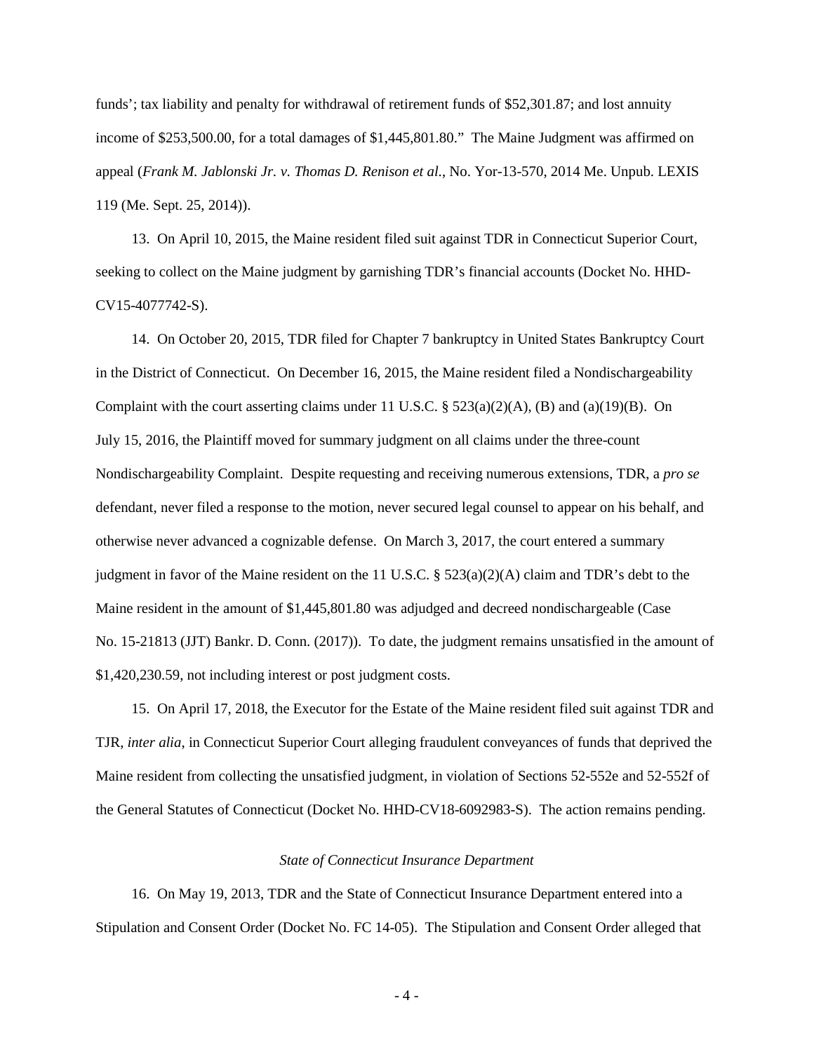funds'; tax liability and penalty for withdrawal of retirement funds of \$52,301.87; and lost annuity income of \$253,500.00, for a total damages of \$1,445,801.80." The Maine Judgment was affirmed on appeal (*Frank M. Jablonski Jr. v. Thomas D. Renison et al.*, No. Yor-13-570, 2014 Me. Unpub. LEXIS 119 (Me. Sept. 25, 2014)).

 13. On April 10, 2015, the Maine resident filed suit against TDR in Connecticut Superior Court, seeking to collect on the Maine judgment by garnishing TDR's financial accounts (Docket No. HHD-CV15-4077742-S).

 14. On October 20, 2015, TDR filed for Chapter 7 bankruptcy in United States Bankruptcy Court in the District of Connecticut. On December 16, 2015, the Maine resident filed a Nondischargeability Complaint with the court asserting claims under 11 U.S.C.  $\S 523(a)(2)(A)$ , (B) and [\(a\)\(19\)\(B\).](https://advance.lexis.com/document/documentlink/?pdmfid=1000516&crid=0b91d2ce-3be2-436f-938c-fb6931bb5f65&pddocfullpath=%2Fshared%2Fdocument%2Fcases%2Furn%3AcontentItem%3A5N0Y-8481-F048-W002-00000-00&pdcontentcomponentid=6399&pdsearchoptionscontext=INTERDOCUMENT-LINK&pddoctitle=Jablonski+v.+Renison+(In+re+Renison)%2C+2017+Bankr.+LEXIS+584+(Bankr.+D.+Conn.%2C+Mar.+3%2C+2017)&pdproductcontenttypeid=urn%3Apct%3A30&pdiskwicview=false&ecomp=1s39k&prid=ce80b96d-f9be-429f-95d0-2ee04cd81971) On July 15, 2016, the Plaintiff moved for summary judgment on all claims under the three-count Nondischargeability Complaint. Despite requesting and receiving numerous extensions, TDR, a *pro se*  defendant, never filed a response to the motion, never secured legal counsel to appear on his behalf, and otherwise never advanced a cognizable defense. On March 3, 2017, the court entered a summary judgment in favor of the Maine resident on the 11 U.S.C.  $\S$  523(a)(2)(A) claim and TDR's debt to the Maine resident in the amount of \$1,445,801.80 was adjudged and decreed nondischargeable (Case No. 15-21813 (JJT) Bankr. D. Conn. (2017)). To date, the judgment remains unsatisfied in the amount of \$1,420,230.59, not including interest or post judgment costs.

15. On April 17, 2018, the Executor for the Estate of the Maine resident filed suit against TDR and TJR, *inter alia*, in Connecticut Superior Court alleging fraudulent conveyances of funds that deprived the Maine resident from collecting the unsatisfied judgment, in violation of Sections 52-552e and 52-552f of the General Statutes of Connecticut (Docket No. HHD-CV18-6092983-S). The action remains pending.

## *State of Connecticut Insurance Department*

 16. On May 19, 2013, TDR and the State of Connecticut Insurance Department entered into a Stipulation and Consent Order (Docket No. FC 14-05). The Stipulation and Consent Order alleged that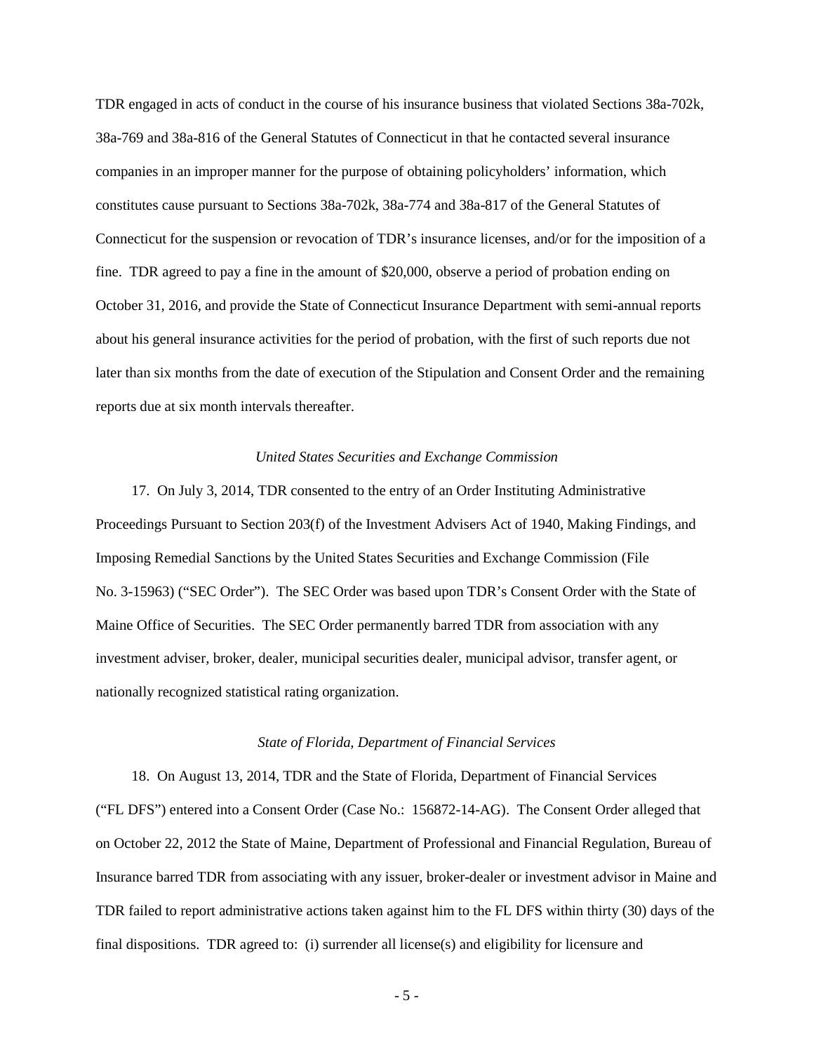TDR engaged in acts of conduct in the course of his insurance business that violated Sections 38a-702k, 38a-769 and 38a-816 of the General Statutes of Connecticut in that he contacted several insurance companies in an improper manner for the purpose of obtaining policyholders' information, which constitutes cause pursuant to Sections 38a-702k, 38a-774 and 38a-817 of the General Statutes of Connecticut for the suspension or revocation of TDR's insurance licenses, and/or for the imposition of a fine. TDR agreed to pay a fine in the amount of \$20,000, observe a period of probation ending on October 31, 2016, and provide the State of Connecticut Insurance Department with semi-annual reports about his general insurance activities for the period of probation, with the first of such reports due not later than six months from the date of execution of the Stipulation and Consent Order and the remaining reports due at six month intervals thereafter.

## *United States Securities and Exchange Commission*

 17. On July 3, 2014, TDR consented to the entry of an Order Instituting Administrative Proceedings Pursuant to Section 203(f) of the Investment Advisers Act of 1940, Making Findings, and Imposing Remedial Sanctions by the United States Securities and Exchange Commission (File No. 3-15963) ("SEC Order"). The SEC Order was based upon TDR's Consent Order with the State of Maine Office of Securities. The SEC Order permanently barred TDR from association with any investment adviser, broker, dealer, municipal securities dealer, municipal advisor, transfer agent, or nationally recognized statistical rating organization.

## *State of Florida, Department of Financial Services*

 18. On August 13, 2014, TDR and the State of Florida, Department of Financial Services ("FL DFS") entered into a Consent Order (Case No.: 156872-14-AG). The Consent Order alleged that on October 22, 2012 the State of Maine, Department of Professional and Financial Regulation, Bureau of Insurance barred TDR from associating with any issuer, broker-dealer or investment advisor in Maine and TDR failed to report administrative actions taken against him to the FL DFS within thirty (30) days of the final dispositions. TDR agreed to: (i) surrender all license(s) and eligibility for licensure and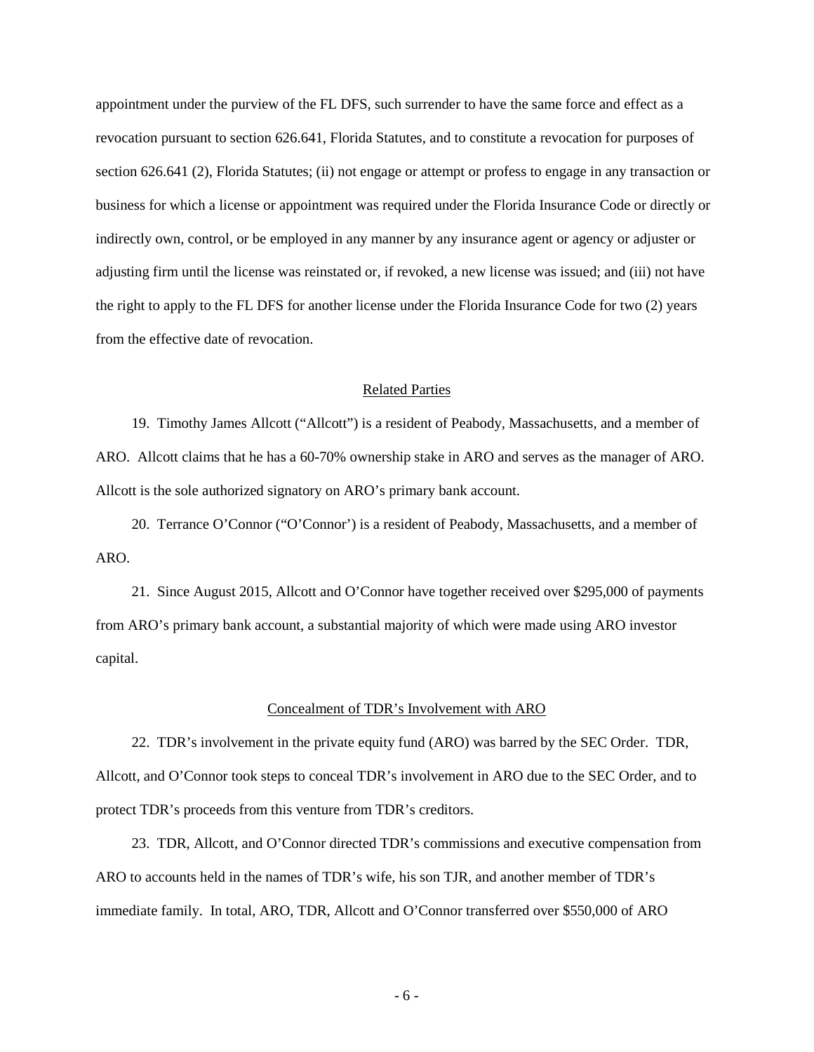appointment under the purview of the FL DFS, such surrender to have the same force and effect as a revocation pursuant to section 626.641, Florida Statutes, and to constitute a revocation for purposes of section 626.641 (2), Florida Statutes; (ii) not engage or attempt or profess to engage in any transaction or business for which a license or appointment was required under the Florida Insurance Code or directly or indirectly own, control, or be employed in any manner by any insurance agent or agency or adjuster or adjusting firm until the license was reinstated or, if revoked, a new license was issued; and (iii) not have the right to apply to the FL DFS for another license under the Florida Insurance Code for two (2) years from the effective date of revocation.

#### Related Parties

 19. Timothy James Allcott ("Allcott") is a resident of Peabody, Massachusetts, and a member of ARO. Allcott claims that he has a 60-70% ownership stake in ARO and serves as the manager of ARO. Allcott is the sole authorized signatory on ARO's primary bank account.

 20. Terrance O'Connor ("O'Connor') is a resident of Peabody, Massachusetts, and a member of ARO.

 21. Since August 2015, Allcott and O'Connor have together received over \$295,000 of payments from ARO's primary bank account, a substantial majority of which were made using ARO investor capital.

#### Concealment of TDR's Involvement with ARO

 22. TDR's involvement in the private equity fund (ARO) was barred by the SEC Order. TDR, Allcott, and O'Connor took steps to conceal TDR's involvement in ARO due to the SEC Order, and to protect TDR's proceeds from this venture from TDR's creditors.

 23. TDR, Allcott, and O'Connor directed TDR's commissions and executive compensation from ARO to accounts held in the names of TDR's wife, his son TJR, and another member of TDR's immediate family. In total, ARO, TDR, Allcott and O'Connor transferred over \$550,000 of ARO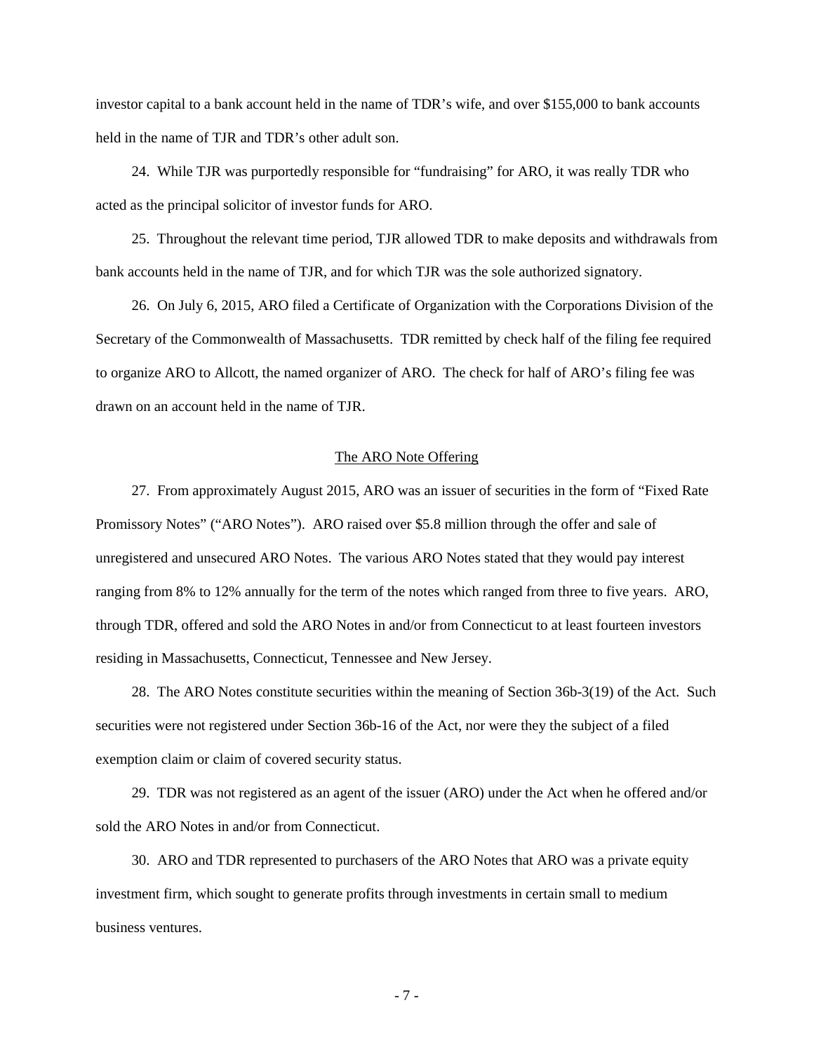investor capital to a bank account held in the name of TDR's wife, and over \$155,000 to bank accounts held in the name of TJR and TDR's other adult son.

 24. While TJR was purportedly responsible for "fundraising" for ARO, it was really TDR who acted as the principal solicitor of investor funds for ARO.

 25. Throughout the relevant time period, TJR allowed TDR to make deposits and withdrawals from bank accounts held in the name of TJR, and for which TJR was the sole authorized signatory.

 26. On July 6, 2015, ARO filed a Certificate of Organization with the Corporations Division of the Secretary of the Commonwealth of Massachusetts. TDR remitted by check half of the filing fee required to organize ARO to Allcott, the named organizer of ARO. The check for half of ARO's filing fee was drawn on an account held in the name of TJR.

## The ARO Note Offering

 27. From approximately August 2015, ARO was an issuer of securities in the form of "Fixed Rate Promissory Notes" ("ARO Notes"). ARO raised over \$5.8 million through the offer and sale of unregistered and unsecured ARO Notes. The various ARO Notes stated that they would pay interest ranging from 8% to 12% annually for the term of the notes which ranged from three to five years. ARO, through TDR, offered and sold the ARO Notes in and/or from Connecticut to at least fourteen investors residing in Massachusetts, Connecticut, Tennessee and New Jersey.

 28. The ARO Notes constitute securities within the meaning of Section 36b-3(19) of the Act. Such securities were not registered under Section 36b-16 of the Act, nor were they the subject of a filed exemption claim or claim of covered security status.

 29. TDR was not registered as an agent of the issuer (ARO) under the Act when he offered and/or sold the ARO Notes in and/or from Connecticut.

 30. ARO and TDR represented to purchasers of the ARO Notes that ARO was a private equity investment firm, which sought to generate profits through investments in certain small to medium business ventures.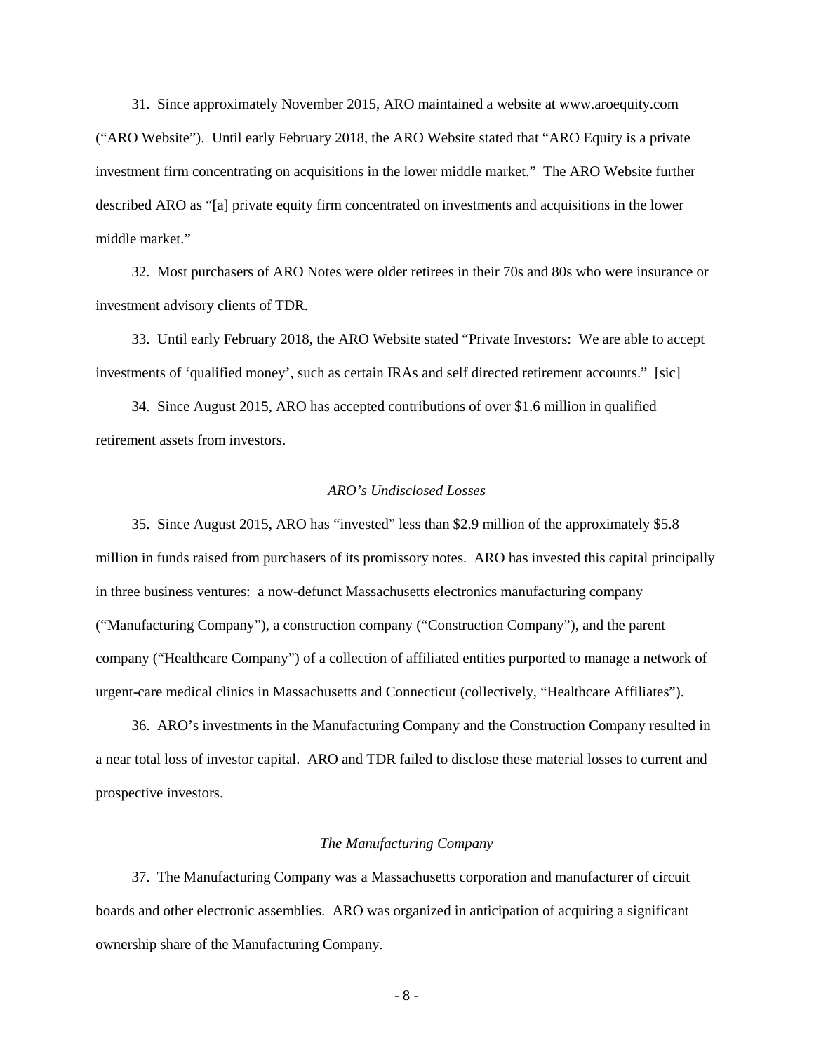31. Since approximately November 2015, ARO maintained a website at www.aroequity.com ("ARO Website"). Until early February 2018, the ARO Website stated that "ARO Equity is a private investment firm concentrating on acquisitions in the lower middle market." The ARO Website further described ARO as "[a] private equity firm concentrated on investments and acquisitions in the lower middle market."

 32. Most purchasers of ARO Notes were older retirees in their 70s and 80s who were insurance or investment advisory clients of TDR.

 33. Until early February 2018, the ARO Website stated "Private Investors: We are able to accept investments of 'qualified money', such as certain IRAs and self directed retirement accounts." [sic]

 34. Since August 2015, ARO has accepted contributions of over \$1.6 million in qualified retirement assets from investors.

# *ARO's Undisclosed Losses*

 35. Since August 2015, ARO has "invested" less than \$2.9 million of the approximately \$5.8 million in funds raised from purchasers of its promissory notes. ARO has invested this capital principally in three business ventures: a now-defunct Massachusetts electronics manufacturing company ("Manufacturing Company"), a construction company ("Construction Company"), and the parent company ("Healthcare Company") of a collection of affiliated entities purported to manage a network of urgent-care medical clinics in Massachusetts and Connecticut (collectively, "Healthcare Affiliates").

 36. ARO's investments in the Manufacturing Company and the Construction Company resulted in a near total loss of investor capital. ARO and TDR failed to disclose these material losses to current and prospective investors.

#### *The Manufacturing Company*

 37. The Manufacturing Company was a Massachusetts corporation and manufacturer of circuit boards and other electronic assemblies. ARO was organized in anticipation of acquiring a significant ownership share of the Manufacturing Company.

- 8 -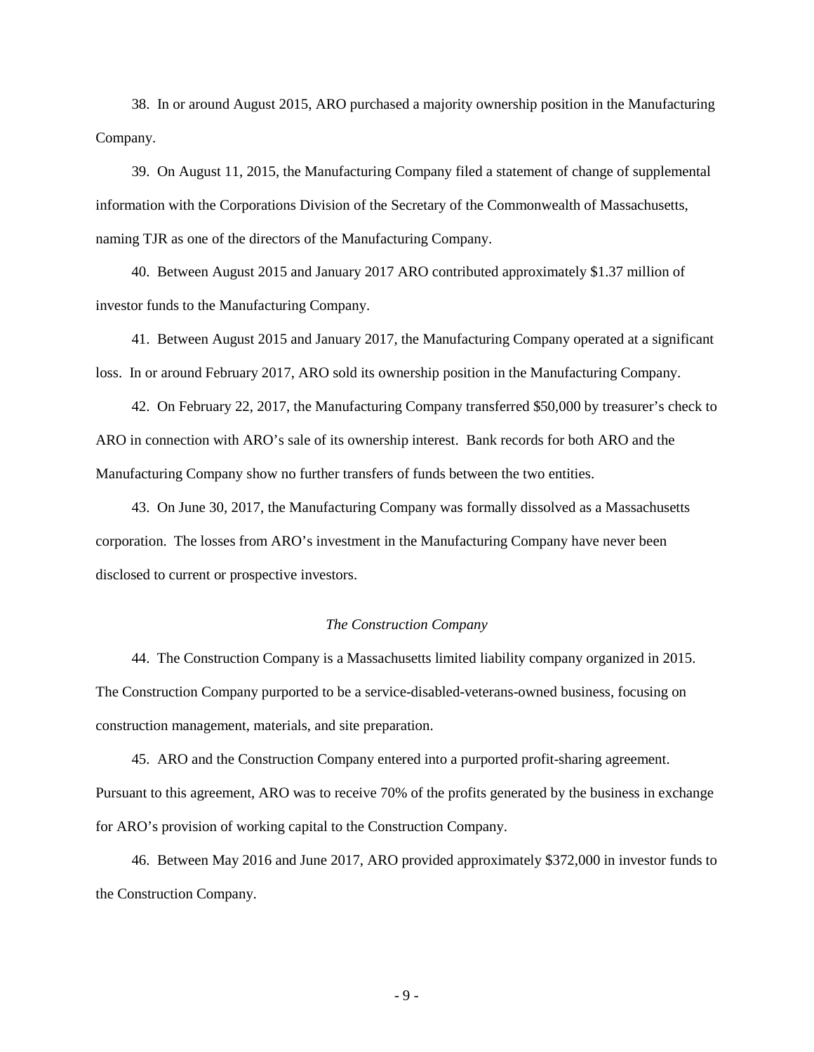38. In or around August 2015, ARO purchased a majority ownership position in the Manufacturing Company.

 39. On August 11, 2015, the Manufacturing Company filed a statement of change of supplemental information with the Corporations Division of the Secretary of the Commonwealth of Massachusetts, naming TJR as one of the directors of the Manufacturing Company.

 40. Between August 2015 and January 2017 ARO contributed approximately \$1.37 million of investor funds to the Manufacturing Company.

 41. Between August 2015 and January 2017, the Manufacturing Company operated at a significant loss. In or around February 2017, ARO sold its ownership position in the Manufacturing Company.

 42. On February 22, 2017, the Manufacturing Company transferred \$50,000 by treasurer's check to ARO in connection with ARO's sale of its ownership interest. Bank records for both ARO and the Manufacturing Company show no further transfers of funds between the two entities.

 43. On June 30, 2017, the Manufacturing Company was formally dissolved as a Massachusetts corporation. The losses from ARO's investment in the Manufacturing Company have never been disclosed to current or prospective investors.

#### *The Construction Company*

 44. The Construction Company is a Massachusetts limited liability company organized in 2015. The Construction Company purported to be a service-disabled-veterans-owned business, focusing on construction management, materials, and site preparation.

 45. ARO and the Construction Company entered into a purported profit-sharing agreement. Pursuant to this agreement, ARO was to receive 70% of the profits generated by the business in exchange for ARO's provision of working capital to the Construction Company.

 46. Between May 2016 and June 2017, ARO provided approximately \$372,000 in investor funds to the Construction Company.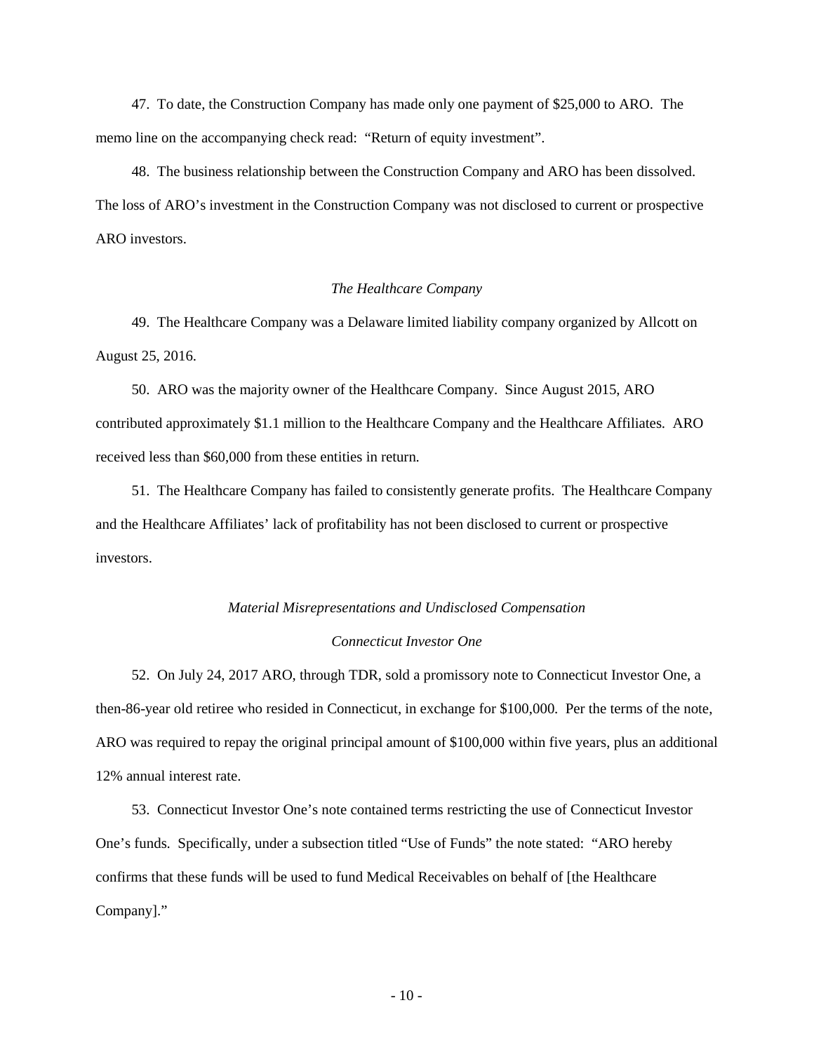47. To date, the Construction Company has made only one payment of \$25,000 to ARO. The memo line on the accompanying check read: "Return of equity investment".

 48. The business relationship between the Construction Company and ARO has been dissolved. The loss of ARO's investment in the Construction Company was not disclosed to current or prospective ARO investors.

## *The Healthcare Company*

 49. The Healthcare Company was a Delaware limited liability company organized by Allcott on August 25, 2016.

 50. ARO was the majority owner of the Healthcare Company. Since August 2015, ARO contributed approximately \$1.1 million to the Healthcare Company and the Healthcare Affiliates. ARO received less than \$60,000 from these entities in return.

 51. The Healthcare Company has failed to consistently generate profits. The Healthcare Company and the Healthcare Affiliates' lack of profitability has not been disclosed to current or prospective investors.

# *Material Misrepresentations and Undisclosed Compensation*

# *Connecticut Investor One*

 52. On July 24, 2017 ARO, through TDR, sold a promissory note to Connecticut Investor One, a then-86-year old retiree who resided in Connecticut, in exchange for \$100,000. Per the terms of the note, ARO was required to repay the original principal amount of \$100,000 within five years, plus an additional 12% annual interest rate.

 53. Connecticut Investor One's note contained terms restricting the use of Connecticut Investor One's funds. Specifically, under a subsection titled "Use of Funds" the note stated: "ARO hereby confirms that these funds will be used to fund Medical Receivables on behalf of [the Healthcare Company]."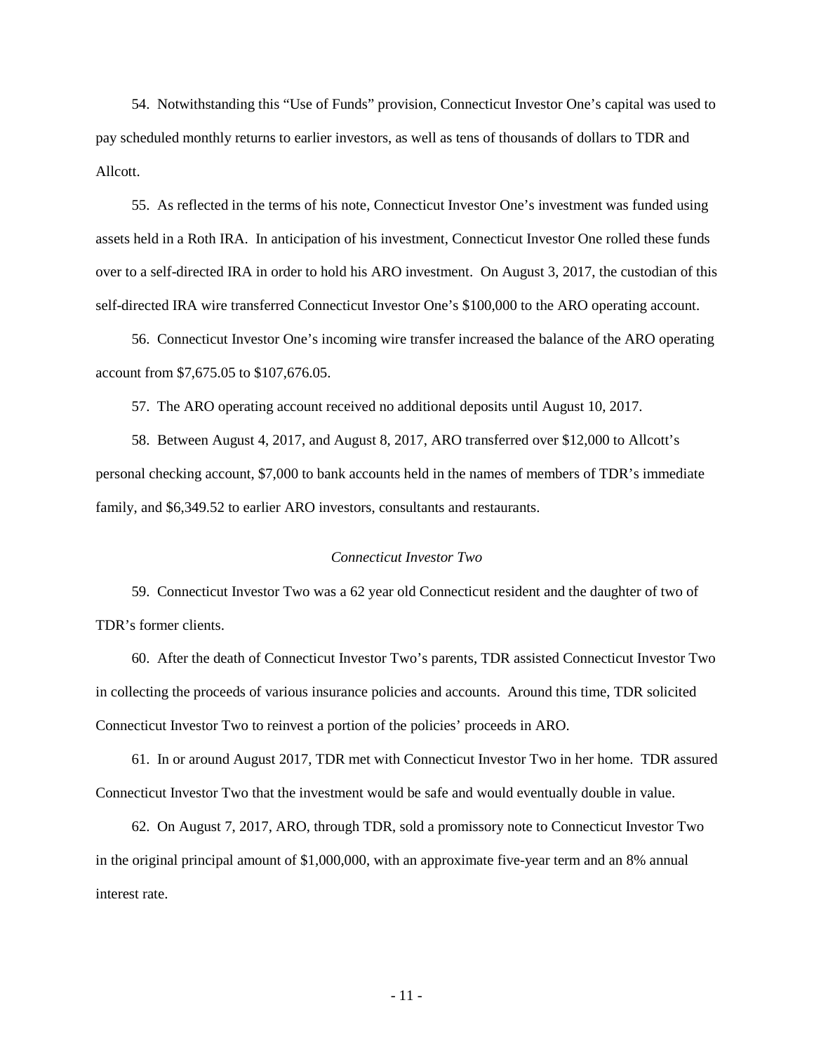54. Notwithstanding this "Use of Funds" provision, Connecticut Investor One's capital was used to pay scheduled monthly returns to earlier investors, as well as tens of thousands of dollars to TDR and Allcott.

 55. As reflected in the terms of his note, Connecticut Investor One's investment was funded using assets held in a Roth IRA. In anticipation of his investment, Connecticut Investor One rolled these funds over to a self-directed IRA in order to hold his ARO investment. On August 3, 2017, the custodian of this self-directed IRA wire transferred Connecticut Investor One's \$100,000 to the ARO operating account.

 56. Connecticut Investor One's incoming wire transfer increased the balance of the ARO operating account from \$7,675.05 to \$107,676.05.

57. The ARO operating account received no additional deposits until August 10, 2017.

 58. Between August 4, 2017, and August 8, 2017, ARO transferred over \$12,000 to Allcott's personal checking account, \$7,000 to bank accounts held in the names of members of TDR's immediate family, and \$6,349.52 to earlier ARO investors, consultants and restaurants.

#### *Connecticut Investor Two*

 59. Connecticut Investor Two was a 62 year old Connecticut resident and the daughter of two of TDR's former clients.

 60. After the death of Connecticut Investor Two's parents, TDR assisted Connecticut Investor Two in collecting the proceeds of various insurance policies and accounts. Around this time, TDR solicited Connecticut Investor Two to reinvest a portion of the policies' proceeds in ARO.

 61. In or around August 2017, TDR met with Connecticut Investor Two in her home. TDR assured Connecticut Investor Two that the investment would be safe and would eventually double in value.

 62. On August 7, 2017, ARO, through TDR, sold a promissory note to Connecticut Investor Two in the original principal amount of \$1,000,000, with an approximate five-year term and an 8% annual interest rate.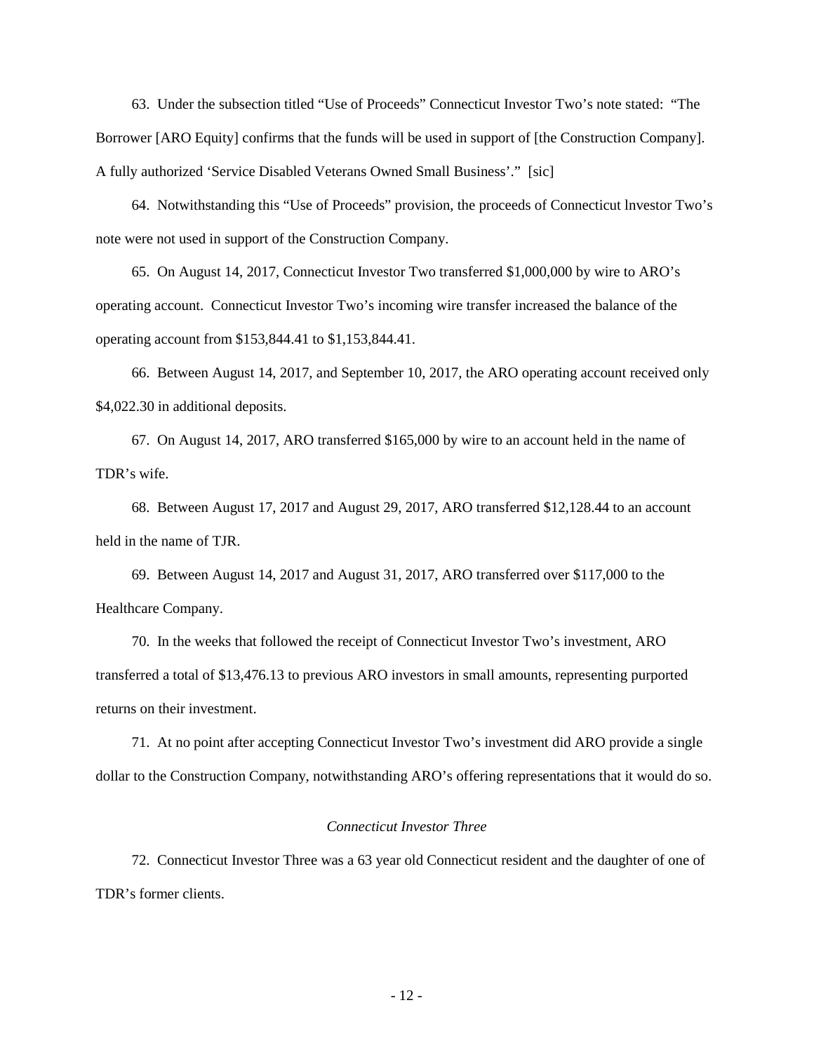63. Under the subsection titled "Use of Proceeds" Connecticut Investor Two's note stated: "The Borrower [ARO Equity] confirms that the funds will be used in support of [the Construction Company]. A fully authorized 'Service Disabled Veterans Owned Small Business'." [sic]

 64. Notwithstanding this "Use of Proceeds" provision, the proceeds of Connecticut lnvestor Two's note were not used in support of the Construction Company.

 65. On August 14, 2017, Connecticut Investor Two transferred \$1,000,000 by wire to ARO's operating account. Connecticut Investor Two's incoming wire transfer increased the balance of the operating account from \$153,844.41 to \$1,153,844.41.

 66. Between August 14, 2017, and September 10, 2017, the ARO operating account received only \$4,022.30 in additional deposits.

 67. On August 14, 2017, ARO transferred \$165,000 by wire to an account held in the name of TDR's wife.

 68. Between August 17, 2017 and August 29, 2017, ARO transferred \$12,128.44 to an account held in the name of TJR.

 69. Between August 14, 2017 and August 31, 2017, ARO transferred over \$117,000 to the Healthcare Company.

 70. In the weeks that followed the receipt of Connecticut Investor Two's investment, ARO transferred a total of \$13,476.13 to previous ARO investors in small amounts, representing purported returns on their investment.

 71. At no point after accepting Connecticut Investor Two's investment did ARO provide a single dollar to the Construction Company, notwithstanding ARO's offering representations that it would do so.

# *Connecticut Investor Three*

 72. Connecticut Investor Three was a 63 year old Connecticut resident and the daughter of one of TDR's former clients.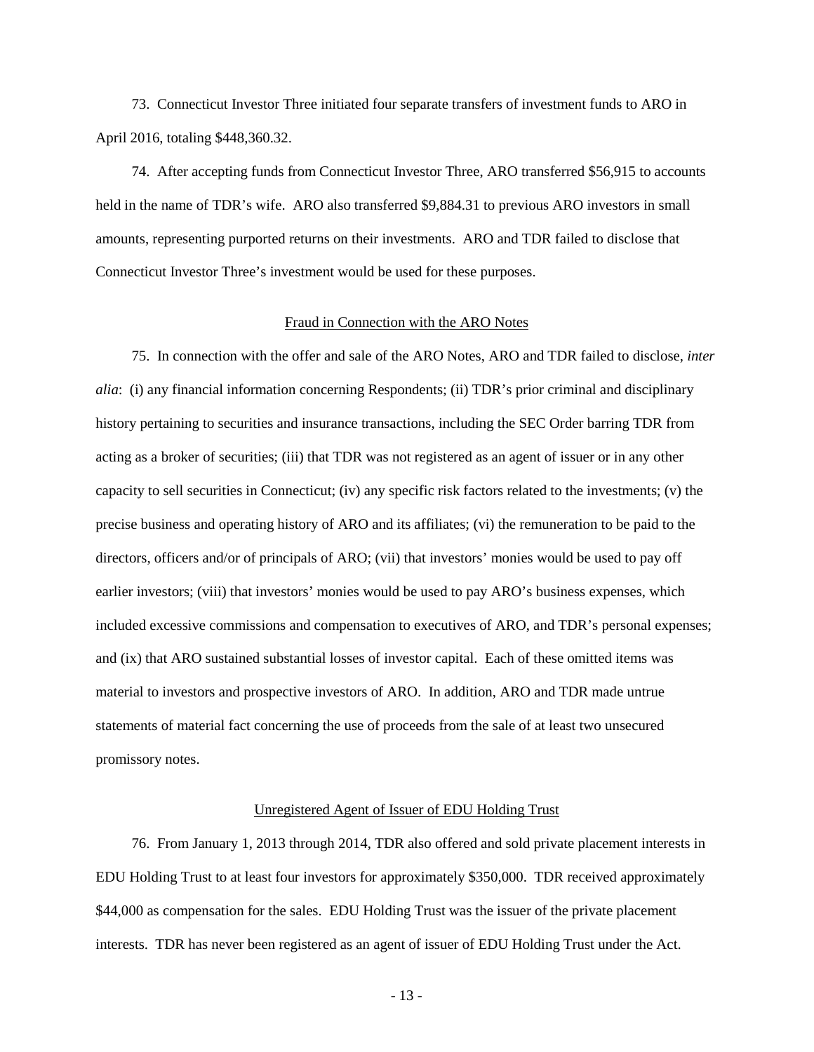73. Connecticut Investor Three initiated four separate transfers of investment funds to ARO in April 2016, totaling \$448,360.32.

 74. After accepting funds from Connecticut Investor Three, ARO transferred \$56,915 to accounts held in the name of TDR's wife. ARO also transferred \$9,884.31 to previous ARO investors in small amounts, representing purported returns on their investments. ARO and TDR failed to disclose that Connecticut Investor Three's investment would be used for these purposes.

#### Fraud in Connection with the ARO Notes

 75. In connection with the offer and sale of the ARO Notes, ARO and TDR failed to disclose, *inter alia*: (i) any financial information concerning Respondents; (ii) TDR's prior criminal and disciplinary history pertaining to securities and insurance transactions, including the SEC Order barring TDR from acting as a broker of securities; (iii) that TDR was not registered as an agent of issuer or in any other capacity to sell securities in Connecticut; (iv) any specific risk factors related to the investments; (v) the precise business and operating history of ARO and its affiliates; (vi) the remuneration to be paid to the directors, officers and/or of principals of ARO; (vii) that investors' monies would be used to pay off earlier investors; (viii) that investors' monies would be used to pay ARO's business expenses, which included excessive commissions and compensation to executives of ARO, and TDR's personal expenses; and (ix) that ARO sustained substantial losses of investor capital. Each of these omitted items was material to investors and prospective investors of ARO. In addition, ARO and TDR made untrue statements of material fact concerning the use of proceeds from the sale of at least two unsecured promissory notes.

#### Unregistered Agent of Issuer of EDU Holding Trust

 76. From January 1, 2013 through 2014, TDR also offered and sold private placement interests in EDU Holding Trust to at least four investors for approximately \$350,000. TDR received approximately \$44,000 as compensation for the sales. EDU Holding Trust was the issuer of the private placement interests. TDR has never been registered as an agent of issuer of EDU Holding Trust under the Act.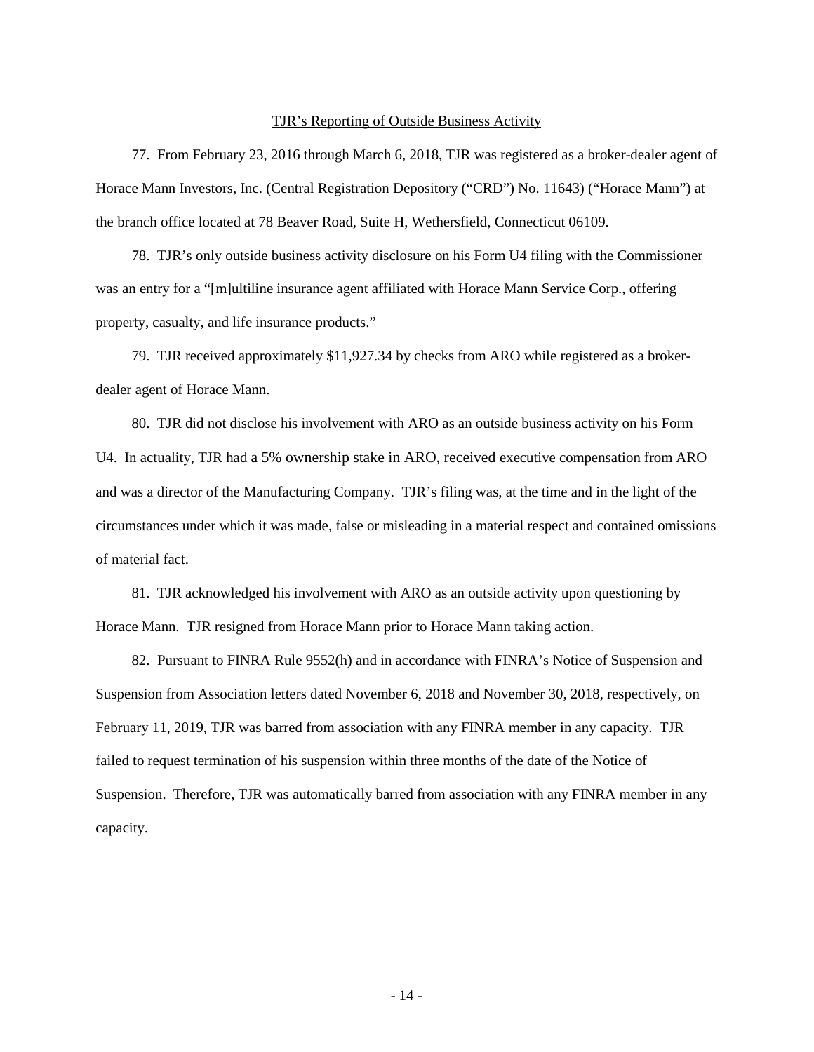#### TJR's Reporting of Outside Business Activity

 77. From February 23, 2016 through March 6, 2018, TJR was registered as a broker-dealer agent of Horace Mann Investors, Inc. (Central Registration Depository ("CRD") No. 11643) ("Horace Mann") at the branch office located at 78 Beaver Road, Suite H, Wethersfield, Connecticut 06109.

 78. TJR's only outside business activity disclosure on his Form U4 filing with the Commissioner was an entry for a "[m]ultiline insurance agent affiliated with Horace Mann Service Corp., offering property, casualty, and life insurance products."

 79. TJR received approximately \$11,927.34 by checks from ARO while registered as a brokerdealer agent of Horace Mann.

 80. TJR did not disclose his involvement with ARO as an outside business activity on his Form U4. In actuality, TJR had a 5% ownership stake in ARO, received executive compensation from ARO and was a director of the Manufacturing Company. TJR's filing was, at the time and in the light of the circumstances under which it was made, false or misleading in a material respect and contained omissions of material fact.

 81. TJR acknowledged his involvement with ARO as an outside activity upon questioning by Horace Mann. TJR resigned from Horace Mann prior to Horace Mann taking action.

 82. Pursuant to FINRA Rule 9552(h) and in accordance with FINRA's Notice of Suspension and Suspension from Association letters dated November 6, 2018 and November 30, 2018, respectively, on February 11, 2019, TJR was barred from association with any FINRA member in any capacity. TJR failed to request termination of his suspension within three months of the date of the Notice of Suspension. Therefore, TJR was automatically barred from association with any FINRA member in any capacity.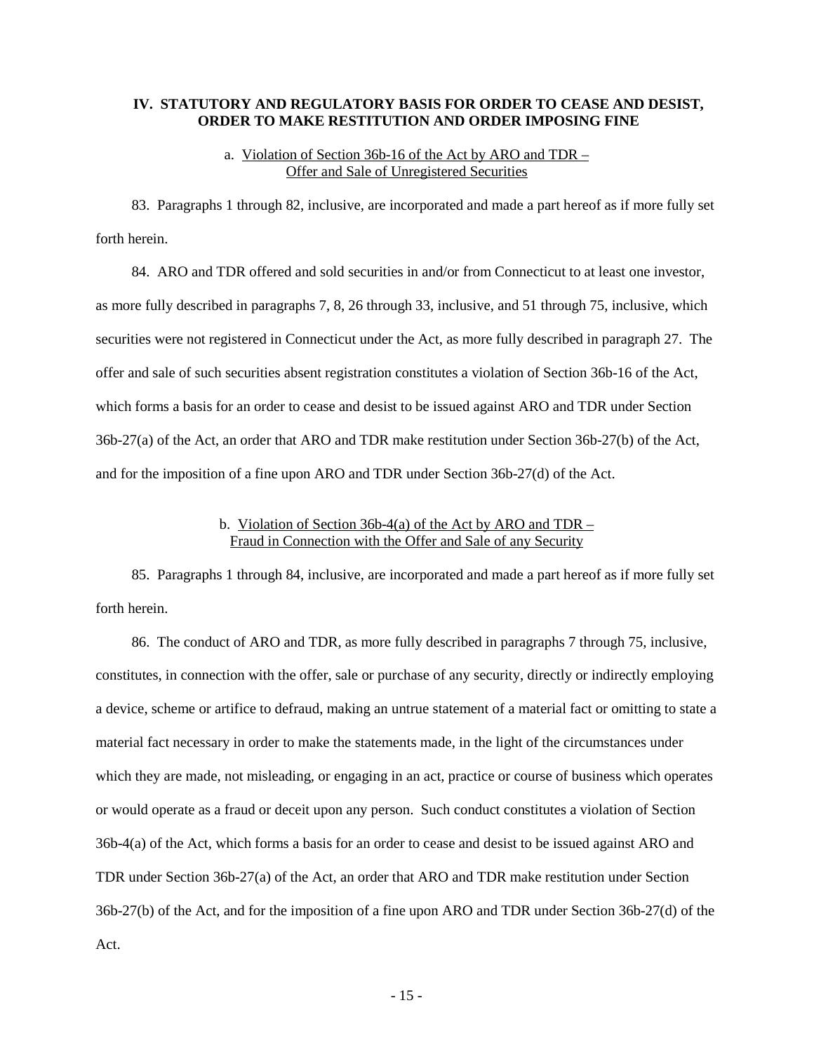# **IV. STATUTORY AND REGULATORY BASIS FOR ORDER TO CEASE AND DESIST, ORDER TO MAKE RESTITUTION AND ORDER IMPOSING FINE**

## a. Violation of Section 36b-16 of the Act by ARO and TDR – Offer and Sale of Unregistered Securities

 83. Paragraphs 1 through 82, inclusive, are incorporated and made a part hereof as if more fully set forth herein.

 84. ARO and TDR offered and sold securities in and/or from Connecticut to at least one investor, as more fully described in paragraphs 7, 8, 26 through 33, inclusive, and 51 through 75, inclusive, which securities were not registered in Connecticut under the Act, as more fully described in paragraph 27. The offer and sale of such securities absent registration constitutes a violation of Section 36b-16 of the Act, which forms a basis for an order to cease and desist to be issued against ARO and TDR under Section 36b-27(a) of the Act, an order that ARO and TDR make restitution under Section 36b-27(b) of the Act, and for the imposition of a fine upon ARO and TDR under Section 36b-27(d) of the Act.

# b. Violation of Section 36b-4(a) of the Act by ARO and TDR – Fraud in Connection with the Offer and Sale of any Security

 85. Paragraphs 1 through 84, inclusive, are incorporated and made a part hereof as if more fully set forth herein.

 86. The conduct of ARO and TDR, as more fully described in paragraphs 7 through 75, inclusive, constitutes, in connection with the offer, sale or purchase of any security, directly or indirectly employing a device, scheme or artifice to defraud, making an untrue statement of a material fact or omitting to state a material fact necessary in order to make the statements made, in the light of the circumstances under which they are made, not misleading, or engaging in an act, practice or course of business which operates or would operate as a fraud or deceit upon any person. Such conduct constitutes a violation of Section 36b-4(a) of the Act, which forms a basis for an order to cease and desist to be issued against ARO and TDR under Section 36b-27(a) of the Act, an order that ARO and TDR make restitution under Section 36b-27(b) of the Act, and for the imposition of a fine upon ARO and TDR under Section 36b-27(d) of the Act.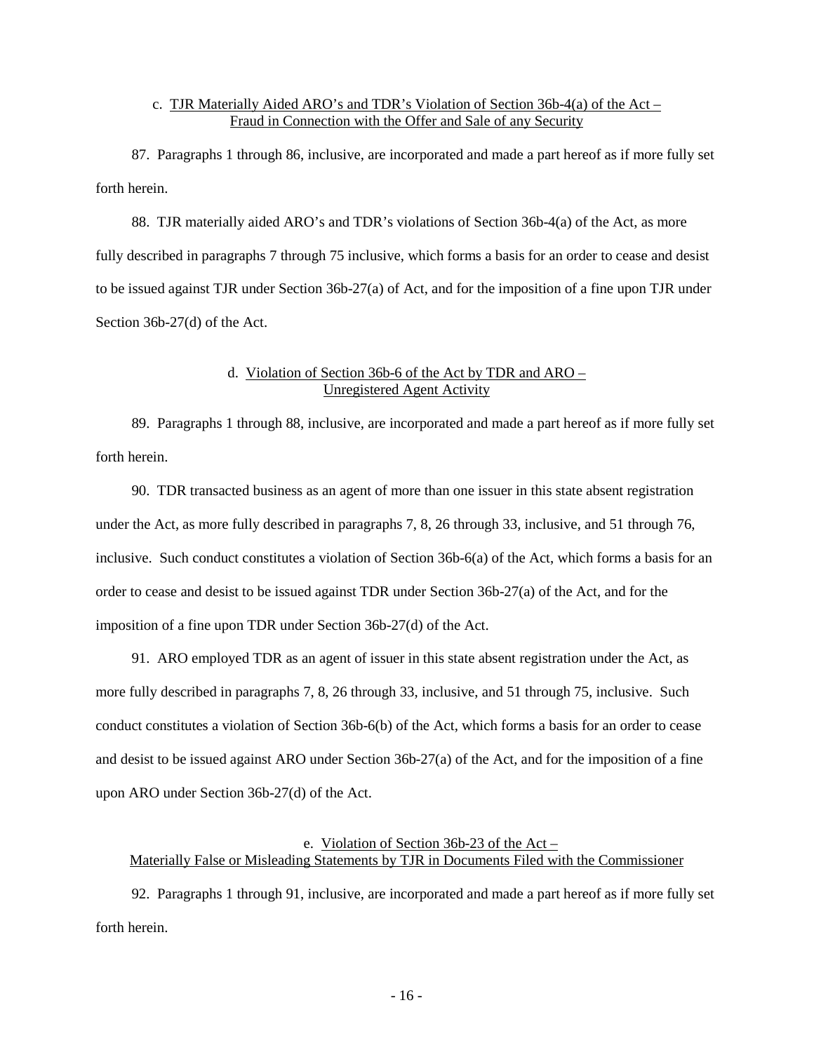# c. TJR Materially Aided ARO's and TDR's Violation of Section 36b-4(a) of the Act – Fraud in Connection with the Offer and Sale of any Security

 87. Paragraphs 1 through 86, inclusive, are incorporated and made a part hereof as if more fully set forth herein.

 88. TJR materially aided ARO's and TDR's violations of Section 36b-4(a) of the Act, as more fully described in paragraphs 7 through 75 inclusive, which forms a basis for an order to cease and desist to be issued against TJR under Section 36b-27(a) of Act, and for the imposition of a fine upon TJR under Section 36b-27(d) of the Act.

# d. Violation of Section 36b-6 of the Act by TDR and ARO – Unregistered Agent Activity

 89. Paragraphs 1 through 88, inclusive, are incorporated and made a part hereof as if more fully set forth herein.

 90. TDR transacted business as an agent of more than one issuer in this state absent registration under the Act, as more fully described in paragraphs 7, 8, 26 through 33, inclusive, and 51 through 76, inclusive. Such conduct constitutes a violation of Section 36b-6(a) of the Act, which forms a basis for an order to cease and desist to be issued against TDR under Section 36b-27(a) of the Act, and for the imposition of a fine upon TDR under Section 36b-27(d) of the Act.

 91. ARO employed TDR as an agent of issuer in this state absent registration under the Act, as more fully described in paragraphs 7, 8, 26 through 33, inclusive, and 51 through 75, inclusive. Such conduct constitutes a violation of Section 36b-6(b) of the Act, which forms a basis for an order to cease and desist to be issued against ARO under Section 36b-27(a) of the Act, and for the imposition of a fine upon ARO under Section 36b-27(d) of the Act.

# e. Violation of Section 36b-23 of the Act – Materially False or Misleading Statements by TJR in Documents Filed with the Commissioner

 92. Paragraphs 1 through 91, inclusive, are incorporated and made a part hereof as if more fully set forth herein.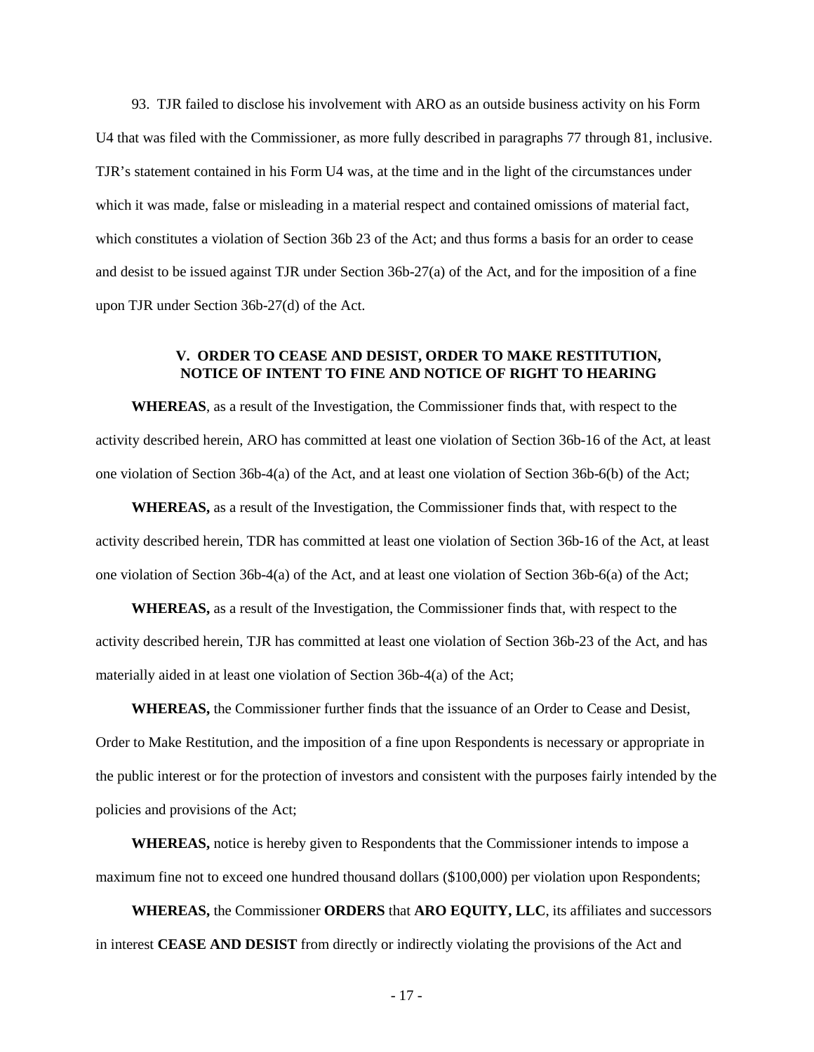93. TJR failed to disclose his involvement with ARO as an outside business activity on his Form U4 that was filed with the Commissioner, as more fully described in paragraphs 77 through 81, inclusive. TJR's statement contained in his Form U4 was, at the time and in the light of the circumstances under which it was made, false or misleading in a material respect and contained omissions of material fact, which constitutes a violation of Section 36b 23 of the Act; and thus forms a basis for an order to cease and desist to be issued against TJR under Section 36b-27(a) of the Act, and for the imposition of a fine upon TJR under Section 36b-27(d) of the Act.

# **V. ORDER TO CEASE AND DESIST, ORDER TO MAKE RESTITUTION, NOTICE OF INTENT TO FINE AND NOTICE OF RIGHT TO HEARING**

**WHEREAS**, as a result of the Investigation, the Commissioner finds that, with respect to the activity described herein, ARO has committed at least one violation of Section 36b-16 of the Act, at least one violation of Section 36b-4(a) of the Act, and at least one violation of Section 36b-6(b) of the Act;

**WHEREAS,** as a result of the Investigation, the Commissioner finds that, with respect to the activity described herein, TDR has committed at least one violation of Section 36b-16 of the Act, at least one violation of Section 36b-4(a) of the Act, and at least one violation of Section 36b-6(a) of the Act;

**WHEREAS,** as a result of the Investigation, the Commissioner finds that, with respect to the activity described herein, TJR has committed at least one violation of Section 36b-23 of the Act, and has materially aided in at least one violation of Section 36b-4(a) of the Act;

**WHEREAS,** the Commissioner further finds that the issuance of an Order to Cease and Desist, Order to Make Restitution, and the imposition of a fine upon Respondents is necessary or appropriate in the public interest or for the protection of investors and consistent with the purposes fairly intended by the policies and provisions of the Act;

**WHEREAS,** notice is hereby given to Respondents that the Commissioner intends to impose a maximum fine not to exceed one hundred thousand dollars (\$100,000) per violation upon Respondents;

**WHEREAS,** the Commissioner **ORDERS** that **ARO EQUITY, LLC**, its affiliates and successors in interest **CEASE AND DESIST** from directly or indirectly violating the provisions of the Act and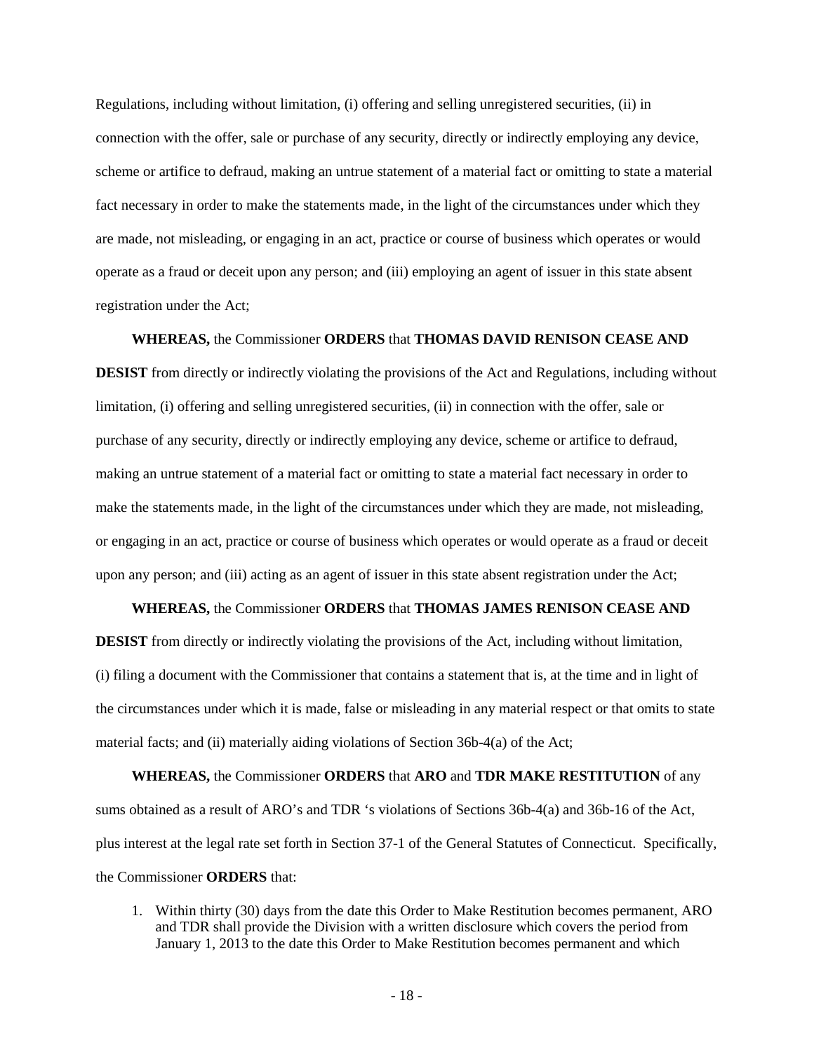Regulations, including without limitation, (i) offering and selling unregistered securities, (ii) in connection with the offer, sale or purchase of any security, directly or indirectly employing any device, scheme or artifice to defraud, making an untrue statement of a material fact or omitting to state a material fact necessary in order to make the statements made, in the light of the circumstances under which they are made, not misleading, or engaging in an act, practice or course of business which operates or would operate as a fraud or deceit upon any person; and (iii) employing an agent of issuer in this state absent registration under the Act;

**WHEREAS,** the Commissioner **ORDERS** that **THOMAS DAVID RENISON CEASE AND DESIST** from directly or indirectly violating the provisions of the Act and Regulations, including without limitation, (i) offering and selling unregistered securities, (ii) in connection with the offer, sale or purchase of any security, directly or indirectly employing any device, scheme or artifice to defraud, making an untrue statement of a material fact or omitting to state a material fact necessary in order to make the statements made, in the light of the circumstances under which they are made, not misleading, or engaging in an act, practice or course of business which operates or would operate as a fraud or deceit upon any person; and (iii) acting as an agent of issuer in this state absent registration under the Act;

**WHEREAS,** the Commissioner **ORDERS** that **THOMAS JAMES RENISON CEASE AND DESIST** from directly or indirectly violating the provisions of the Act, including without limitation, (i) filing a document with the Commissioner that contains a statement that is, at the time and in light of the circumstances under which it is made, false or misleading in any material respect or that omits to state material facts; and (ii) materially aiding violations of Section 36b-4(a) of the Act;

**WHEREAS,** the Commissioner **ORDERS** that **ARO** and **TDR MAKE RESTITUTION** of any sums obtained as a result of ARO's and TDR 's violations of Sections 36b-4(a) and 36b-16 of the Act, plus interest at the legal rate set forth in Section 37-1 of the General Statutes of Connecticut. Specifically, the Commissioner **ORDERS** that:

1. Within thirty (30) days from the date this Order to Make Restitution becomes permanent, ARO and TDR shall provide the Division with a written disclosure which covers the period from January 1, 2013 to the date this Order to Make Restitution becomes permanent and which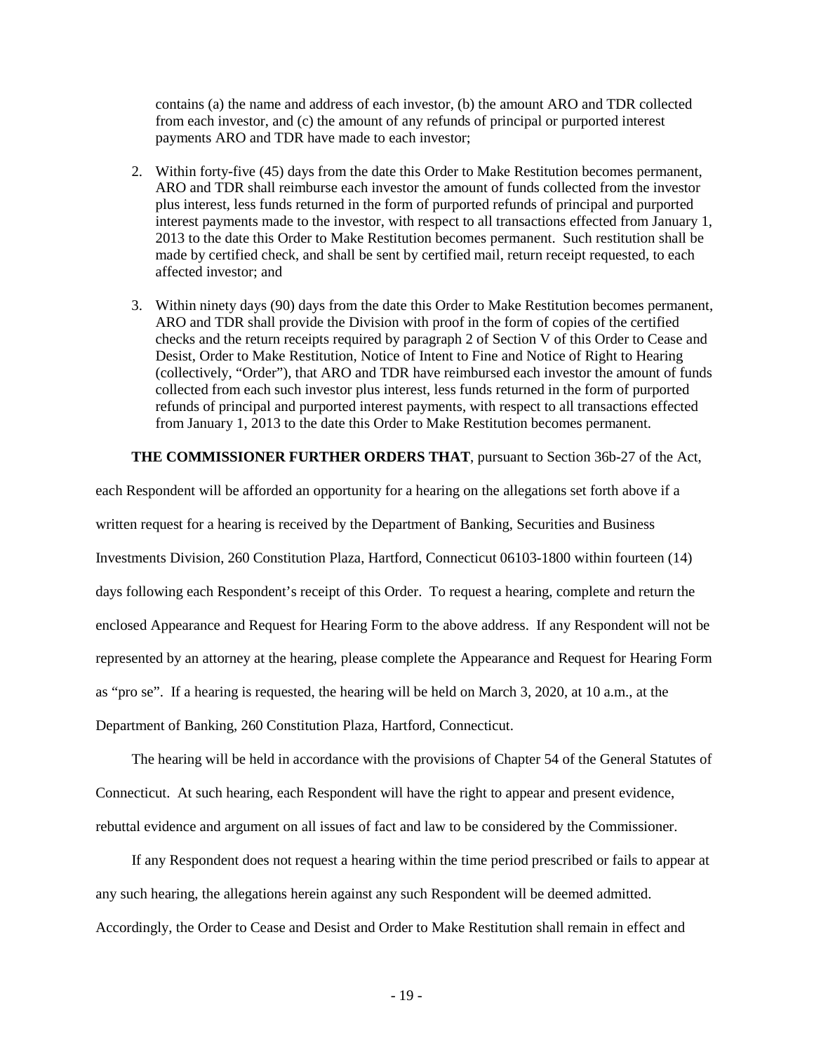contains (a) the name and address of each investor, (b) the amount ARO and TDR collected from each investor, and (c) the amount of any refunds of principal or purported interest payments ARO and TDR have made to each investor;

- 2. Within forty-five (45) days from the date this Order to Make Restitution becomes permanent, ARO and TDR shall reimburse each investor the amount of funds collected from the investor plus interest, less funds returned in the form of purported refunds of principal and purported interest payments made to the investor, with respect to all transactions effected from January 1, 2013 to the date this Order to Make Restitution becomes permanent. Such restitution shall be made by certified check, and shall be sent by certified mail, return receipt requested, to each affected investor; and
- 3. Within ninety days (90) days from the date this Order to Make Restitution becomes permanent, ARO and TDR shall provide the Division with proof in the form of copies of the certified checks and the return receipts required by paragraph 2 of Section V of this Order to Cease and Desist, Order to Make Restitution, Notice of Intent to Fine and Notice of Right to Hearing (collectively, "Order"), that ARO and TDR have reimbursed each investor the amount of funds collected from each such investor plus interest, less funds returned in the form of purported refunds of principal and purported interest payments, with respect to all transactions effected from January 1, 2013 to the date this Order to Make Restitution becomes permanent.

## **THE COMMISSIONER FURTHER ORDERS THAT**, pursuant to Section 36b-27 of the Act,

each Respondent will be afforded an opportunity for a hearing on the allegations set forth above if a written request for a hearing is received by the Department of Banking, Securities and Business Investments Division, 260 Constitution Plaza, Hartford, Connecticut 06103-1800 within fourteen (14) days following each Respondent's receipt of this Order. To request a hearing, complete and return the enclosed Appearance and Request for Hearing Form to the above address. If any Respondent will not be represented by an attorney at the hearing, please complete the Appearance and Request for Hearing Form as "pro se". If a hearing is requested, the hearing will be held on March 3, 2020, at 10 a.m., at the Department of Banking, 260 Constitution Plaza, Hartford, Connecticut.

 The hearing will be held in accordance with the provisions of Chapter 54 of the General Statutes of Connecticut. At such hearing, each Respondent will have the right to appear and present evidence, rebuttal evidence and argument on all issues of fact and law to be considered by the Commissioner.

 If any Respondent does not request a hearing within the time period prescribed or fails to appear at any such hearing, the allegations herein against any such Respondent will be deemed admitted. Accordingly, the Order to Cease and Desist and Order to Make Restitution shall remain in effect and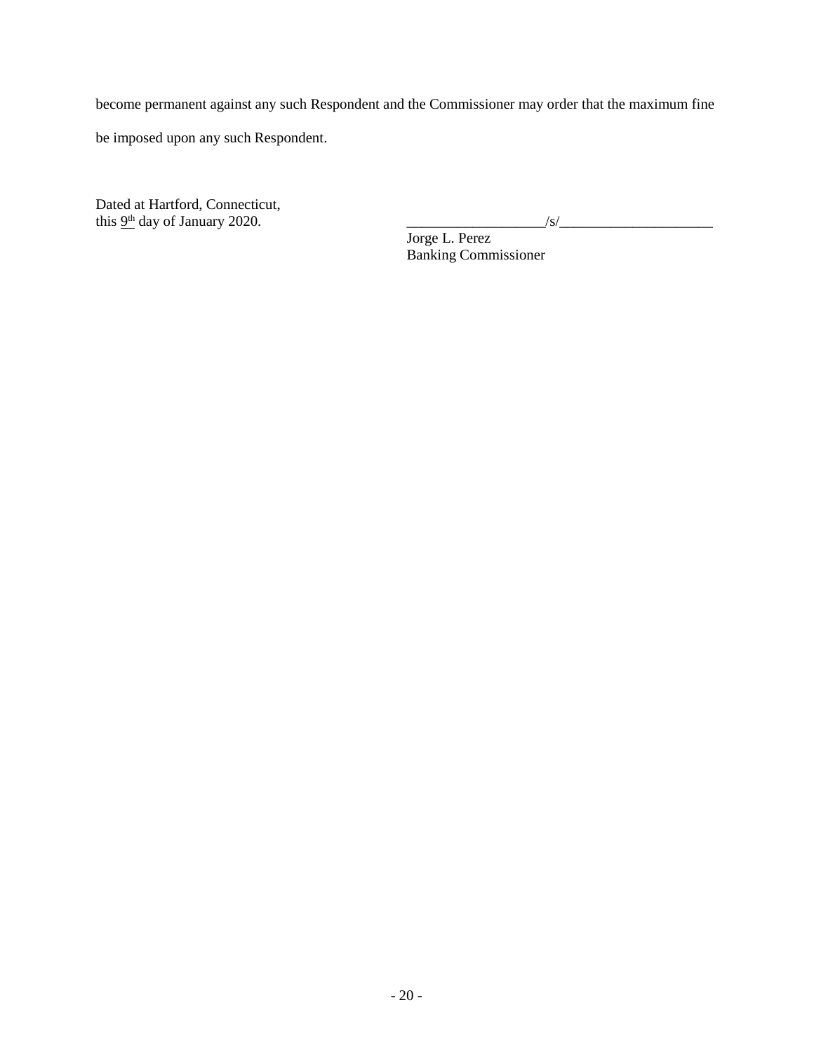become permanent against any such Respondent and the Commissioner may order that the maximum fine

be imposed upon any such Respondent.

Dated at Hartford, Connecticut, this  $9<sup>th</sup>$  day of January 2020.

Jorge L. Perez Banking Commissioner